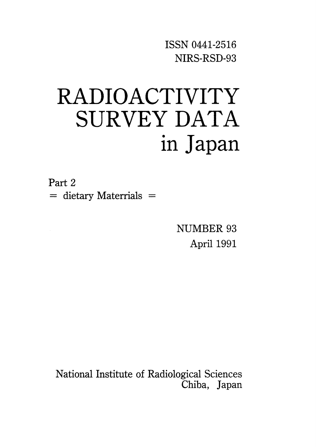ISSNO441-2516 NIRS-RSD-93

# RADIOACTIVITY SURVEY DATA in Japan

Part 2  $=$  dietary Materrials  $=$ 

> NUMBER 93 April 1991

National Institute of Radiological Sciences Chiba, Japan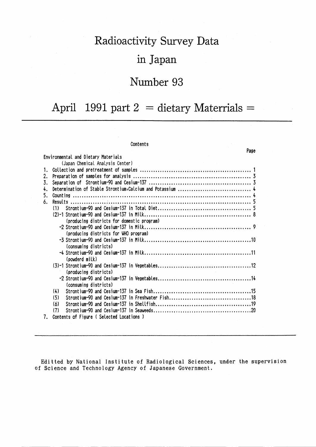## Radioactivity Survey Data

### in Japan

## Number 93

# April 1991 part  $2 =$  dietary Materrials =

#### Contents

|    | Page                                       |  |
|----|--------------------------------------------|--|
|    | Environmental and Dietary Materials        |  |
|    | (Japan Chemical Analysis Center)           |  |
| 1. |                                            |  |
| 2. |                                            |  |
| 3. |                                            |  |
| 4. |                                            |  |
| 5. |                                            |  |
| 6. |                                            |  |
|    | (1)                                        |  |
|    |                                            |  |
|    | (producing districts for domestic program) |  |
|    |                                            |  |
|    | (producing districts for WHO program)      |  |
|    |                                            |  |
|    | (consuming districts)                      |  |
|    |                                            |  |
|    | (powderd milk)                             |  |
|    |                                            |  |
|    | (producing districts)                      |  |
|    |                                            |  |
|    | (consuming districts)                      |  |
|    | (4)                                        |  |
|    | (5)                                        |  |
|    | (6)                                        |  |
|    | (7)                                        |  |
| 7. | Contents of Figure (Selected Locations)    |  |

Editted by National Institute of Radiological Sciences, under the supervision of Science and Technology Agency of Japanese Government.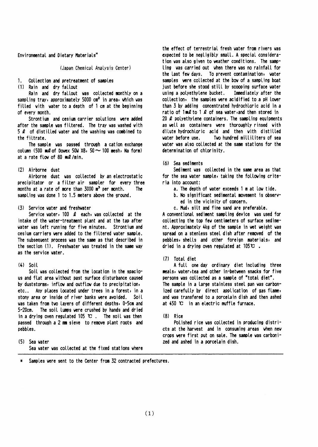Environmental and Dietary Materials\*

(Japan Chemical Analysis Center)

#### $1<sup>1</sup>$ Collection and pretreatment of samples

(1) Rain and dry fallout

Rain and dry fallout was collected monthly on a sampling tray, approximately 5000 cm<sup>2</sup> in area, which was filled with water to a depth of 1 cm at the beginning of every month.

Strontium and cesium carrier solutions were added after the sample was filtered. The tray was washed with 5  $\ell$  of distilled water and the washing was combined to the filtrate.

The sample was passed through a cation exchange column (500  $mQ$  of Dowex 50W X8, 50  $\sim$  100 mesh, Na form) at a rate flow of 80 ml/min.

#### (2) Airborne dust

Airborne dust was collected by an electrostatic precipitator or a filter air sampler for every three months at a rate of more than  $3000 \text{ m}^3$  per month. The sampling was done 1 to 1.5 meters above the ground.

#### (3) Service vater and freshwater

Service water,  $100 \, \ell$  each, was collected at the intake of the vater-treatment plant and at the tap after vater vas left running for five minutes. Strontium and cesium carriers were added to the filtered water sample. The subsequent process was the same as that described in the section (1). Freshwater was treated in the same way as the service water.

#### $(4)$  Soil

Soil was collected from the location in the spacious and flat area without past surface disturbance caused by duststorms, inflow and outflow due to precipitation, etc.. Any places located under trees in a forest, in a stony area or inside of river banks were avoided. Soil was taken from two layers of different depths, 0-5cm and 5-20cm. The soil lumps were crushed by hands and dried in a drying oven regulated 105  $\mathbb{C}$ . The soil was then passed through a 2 mm sieve to remove plant roots and pebbles.

(5) Sea vater Sea water was collected at the fixed stations where

the effect of terrestrial fresh vater from rivers was expected to be negligibly small. A special consideration was also given to weather conditions. The samoling was carried out when there was no rainfall for the last few days. To prevent contamination, water samples were collected at the bow of a sampling boat just before she stood still by scooping surface water using a polyethylene bucket. Immediately after the collection, the samples were acidified to a pH lower than 3 by adding concentrated hydrochloric acid in a ratio of  $1 \text{ m2}$  to  $1 \text{ l2}$  of sea water, and then stored in 20  $\ell$  polyethylene containers. The sampling equipments as well as containers were thoroughly rinsed with dilute hydrochloric acid and then with distilled vater before use. Two hundred milliliters of sea water was also collected at the same stations for the determination of chlorinity.

#### (6) Sea sediments

Sediment was collected in the same area as that for the sea water sample, taking the following criteria into account:

- a. The depth of water exceeds 1 m at low tide.
- b. No significant sedimental movement is observed in the vicinity of concern.
- c. Mud, silt and fine sand are preferable.

A conventional sediment sampling device was used for collecting the top few centimeters of surface sediment. Approximately 4kg of the sample in wet weight was spread on a stenless steel dish after removed of the pebbles, shells and other foreign materials, and dried in a drying oven regulated at  $105^\circ \text{C}$ .

#### (7) Total diet

A full one day ordinary diet including three meals, water, tea and other in-between snacks for five persons was collected as a sample of "total diet". The sample in a large stainless steel pan was carbonized carefully by direct application of gas flame, and was transfered to a porcelain dish and then ashed at 450 °C in an electric muffle furnace.

#### $(8)$  Rice

Polished rice was collected in producing districts at the harvest and in consuming areas when new crops were first put on sale. The sample was carbonized and ashed in a porcelain dish.

Samples were sent to the Center from 32 contracted prefectures.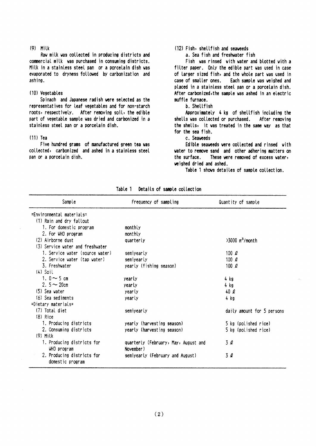#### $(9)$  Milk

Raw milk was collected in producing districts and commercial milk was purchased in consuming districts. Milk in a stainless steel pan or a porcelain dish was evaporated to dryness followed by carbonization and ashing.

### (10) Vegetables

Spinach and Japanese radish were selected as the representatives for leaf vegetables and for non-starch roots, respectively. After removing soil, the edible part of vegetable sample was dried and carbonized in a stainless steel pan or a porcelain dish.

#### $(11)$  Tea

Five hundred grams of manufactured green tea was collected, carbonized and ashed in a stainless steel pan or a porcelain dish.

### (12) Fish, shellfish and seaweeds

a. Sea fish and freshwater fish

Fish was rinsed with water and blotted with a filter paper. Only the edible part was used in case of larger sized fish, and the whole part was used in case of smaller ones. Each sample was veighed and placed in a stainless steel pan or a porcelain dish. After carbonized, the sample was ashed in an electric muffle furnace.

#### b. Shellfish

Approximately 4 kg of shellfish including the shells was collected or purchased. After removing the shells, it was treated in the same way as that for the sea fish.

c. Seaveeds

Edible seaweeds were collected and rinsed with water to remove sand and other adhering matters on the surface. These were removed of excess water, weighed dried and ashed.

Table 1 shows detailes of sample collection.

| Sample                           | Frequency of sampling                | Quantity of sample            |
|----------------------------------|--------------------------------------|-------------------------------|
| =Environmental materials=        |                                      |                               |
| (1) Rain and dry fallout         |                                      |                               |
| 1. For domestic program          | monthly                              |                               |
| 2. For WHO program               | monthly                              |                               |
| (2) Airborne dust                | quarterly                            | $>3000$ m <sup>3</sup> /month |
| (3) Service water and freshwater |                                      |                               |
| 1. Service water (source water)  | semiyearly                           | 100 $\ell$                    |
| 2. Service water (tap water)     | semiyearly                           | 100 $\ell$                    |
| 3. Freshwater                    | yearly (fishing season)              | 100 $\ell$                    |
| $(4)$ Soil                       |                                      |                               |
| 1. $0 \sim 5$ cm                 | yearly                               | 4 kg                          |
| 2. $5 - 20$ cm                   | yearly                               | 4 kg                          |
| (5) Sea water                    | yearly                               | 40Q                           |
| (6) Sea sediments                | yearly                               | 4 kg                          |
| =Dietary materials=              |                                      |                               |
| (7) Total diet                   | semiyearly                           | daily amount for 5 persons    |
| $(8)$ Rice                       |                                      |                               |
| 1. Producing districts           | yearly (harvesting season)           | 5 kg (polished rice)          |
| 2. Consuming districts           | yearly (harvesting season)           | 5 kg (polished rice)          |
| $(9)$ Milk                       |                                      |                               |
| 1. Producing districts for       | quarterly (February, May, August and | 3Q                            |
| WHO program                      | November)                            |                               |
| 2. Producing districts for       | semiyearly (February and August)     | 3 l                           |
| domestic program                 |                                      |                               |

Table 1 Details of sample collection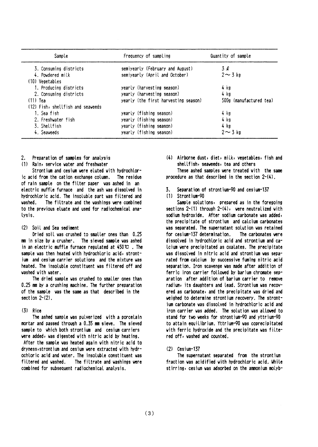| Sample                            | Frequency of sampling                | Quantity of sample      |
|-----------------------------------|--------------------------------------|-------------------------|
| 3. Consuming districts            | semiyearly (February and August)     | 3Q                      |
| 4. Powdered milk                  | semiyearly (April and October)       | $2 \sim 3$ kg           |
| (10) Vegetables                   |                                      |                         |
| 1. Producing districts            | yearly (harvesting season)           | 4 kg                    |
| 2. Consuming districts            | yearly (harvesting season)           | 4 kg                    |
| $(11)$ Tea                        | yearly (the first harvesting season) | 500g (manufactured tea) |
| (12) Fish, shellfish and seaweeds |                                      |                         |
| 1. Sea fish                       | yearly (fishing season)              | 4 kg                    |
| 2. Freshwater fish                | yearly (fishing season)              | 4 kg                    |
| 3. Shellfish                      | yearly (fishing season)              | 4 kg                    |
| 4. Seaveeds                       | yearly (fishing season)              | $2 \sim 3$ kg           |

- Preparation of samples for analysis 2.
- Rain, service water and freshwater  $(1)$

Strontium and cesium were eluted with hydrochloric acid from the cation exchange column. The residue of rain sample on the filter paper was ashed in an electric muffle furnace and the ash was dissolved in hydrochloric acid. The insoluble part was filtered and vashed. The filtrate and the vashings vere combined to the previous eluate and used for radiochemical analysis.

#### (2) Soil and Sea sediment

Dried soil was crushed to smaller ones than 0.25 mm in size by a crusher. The sieved sample was ashed in an electric muffle furnace regulated at  $450 \, \text{C}$ . The sample was then heated with hydrochloric acid, strontium and cesium carrier solutions and the mixture was heated. The insoluble constituent was filtered off and washed with water.

The dried sample was crushed to smaller ones than 0.25 mm by a crushing machine. The further preparation of the sample was the same as that described in the section  $2-(2)$ .

#### $(3)$  Rice

The ashed sample was pulverized with a porcelain mortar and passed through a 0.35 mm sieve. The sieved sample to which both strontium and cesium carriers were added, was digested with nitric acid by heating. After the sample was heated again with nitric acid to dryness, strontium and cesium were extracted with hydrochloric acid and water. The insoluble constituent was filtered and washed. The filtrate and washings were combined for subsequent radiochemical analysis.

(4) Airborne dust, diet, milk, vegetables, fish and shellfish, seaveeds, tea and others

These ashed samples were treated with the same procedure as that described in the section  $2-(4)$ .

Separation of strontium-90 and cesium-137 र

#### $(1)$  Strontium-90

Sample solutions, prepared as in the foregoing sections 2-(1) through 2-(4), were neutralized with sodium hydroxide. After sodium carbonate was added, the precipitate of strontium and calcium carbonates was separated. The supernatant solution was retained for cesium-137 determination. The carbonates vere dissolved in hydrochloric acid and strontium and ca-Icium vere precipitated as oxalates. The precipitate was dissolved in nitric acid and strontium was separated from calcium by successive fuming nitric acid separation. Iron scavenge was made after addition of ferric iron carrier followed by barium chromate separation after addition of barium carrier to remove radium, its daughters and lead. Strontium was recovered as carbonate, and the precipitate was dried and weighed to determine strontium recovery. The strontjum carbonate was dissolved in hydrochloric acid and iron carrier was added. The solution was allowed to stand for two weeks for strontium-90 and yttrium-90 to attain equilibrium. Yttrium-90 was coprecipitated with ferric hydroxide and the precipitate was filtered off, washed and counted.

#### $(2)$  Cesium-137

The supernatant separated from the strontium fraction was acidified with hydrochloric acid, While stirring, cesium was adsorbed on the ammonium molyb-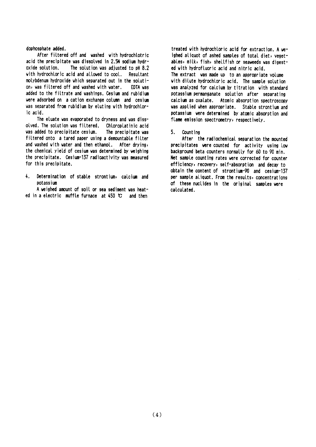#### dophosphate added.

After filtered off and washed with hydrochlotric acid the precipitate was dissolved in 2.5N sodium hydroxide solution. The solution was adjusted to pH 8.2 with hydrochloric acid and allowed to cool. Resultant molybdenum hydroxide which separated out in the solution, was filtered off and washed with water. FDTA uas added to the filtrate and washings. Cesium and rubidium were adsorbed on a cation exchange column and cesium was separated from rubidium by eluting with hydrochloric acid.

The eluate was evaporated to dryness and was dissolved. The solution was filtered. Chloroplatinic acid was added to precipitate cesium. The precipitate was filtered onto a tared paper using a demountable filter and washed with water and then ethanol. After drying, the chemical vield of cesium was determined by weighing the precipitate. Cesium-137 radioactivity was measured for this precipitate.

 $\mathbf{L}$ Determination of stable strontium, calcium and potassium

A weighed amount of soil or sea sediment was heated in a electric muffle furnace at  $450 \text{ C}$  and then

treated with hydrochloric acid for extraction. A weighed aliquot of ashed samples of total diet, yegetables, milk, fish, shellfish or seaveeds was digested with hydrofluoric acid and nitric acid. The extract was made up to an appropriate volume with dilute hydrochloric acid. The sample solution was analyzed for calcium by titration with standard potassium permanganate solution after separating catcium as oxalate. Atomic absorption spectroscopy was applied when appropriate. Stable strontium and potassium were determined by atomic absorption and flame emission spectrometry, respectively.

#### 5. Count ing

After the radiochemical separation the mounted precipitates were counted for activity using low background beta counters normally for 60 to 90 min. Net sample counting rates were corrected for counter efficiency, recovery, self-absorption and decay to obtain the content of strontium-90 and cesium-137 per sample aliquot. From the results, concentrations of these nuclides in the original samples were calculated.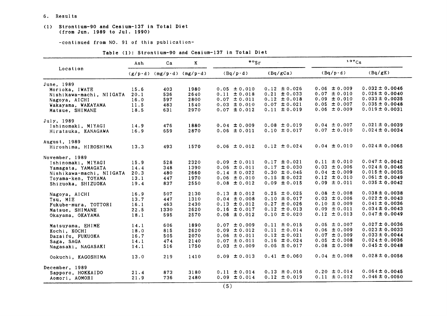#### 6. Results

#### (1) Strontium-90 and Cesium-137 in Total Diet (from Jun. 1989 to Jul. 1990)

-continued from NO. 91 of this publication-

|                          | Ash  | Ca                                | K    | $\frac{80}{s}$   |                  | 137Cs            |                    |
|--------------------------|------|-----------------------------------|------|------------------|------------------|------------------|--------------------|
| Location                 |      | $(g/p \cdot d)$ (mg/p·d) (mg/p·d) |      | $(Bq/p \cdot d)$ | (Bq/gCa)         | $(Bq/p \cdot d)$ | (Bq/gK)            |
| June. 1989               |      |                                   |      |                  |                  |                  |                    |
| Morioka, IWATE           | 15.6 | 403                               | 1980 | $0.05 \pm 0.010$ | $0.12 \pm 0.026$ | $0.06 \pm 0.009$ | $0.032 \pm 0.0046$ |
| Nishikawa-machi, NIIGATA | 20.1 | 536                               | 2640 | $0.11 \pm 0.018$ | $0.21 \pm 0.033$ | $0.07 \pm 0.010$ | $0.026 \pm 0.0040$ |
| Nagoya, AICHI            | 16.0 | 597                               | 2800 | $0.07 \pm 0.011$ | $0.12 \pm 0.018$ | $0.09 \pm 0.010$ | $0.033 \pm 0.0035$ |
| Wakayama, WAKAYAMA       | 11.5 | 483                               | 1540 | $0.03 \pm 0.010$ | $0.07 \pm 0.021$ | $0.05 \pm 0.007$ | $0.035 \pm 0.0048$ |
| Matsue, SHIMANE          | 18.5 | 631                               | 2970 | $0.07 \pm 0.012$ | $0.11 \pm 0.019$ | $0.06 \pm 0.009$ | $0.019 \pm 0.0031$ |
| July, 1989               |      |                                   |      |                  |                  |                  |                    |
| Ishinomaki, MIYAGI       | 14.9 | 476                               | 1880 | $0.04 \pm 0.009$ | $0.08 \pm 0.019$ | $0.04 \pm 0.007$ | $0.021 \pm 0.0039$ |
| Hiratsuka, KANAGAWA      | 16.9 | 659                               | 2870 | $0.06 \pm 0.011$ | $0.10 \pm 0.017$ | $0.07 \pm 0.010$ | $0.024 \pm 0.0034$ |
| August, 1989             |      |                                   |      |                  |                  |                  |                    |
| Hiroshima, HIROSHIMA     | 13.3 | 493                               | 1570 | $0.06 \pm 0.012$ | $0.12 \pm 0.024$ | $0.04 \pm 0.010$ | $0.024 \pm 0.0065$ |
| November, 1989           |      |                                   |      |                  |                  |                  |                    |
| Ishinomaki, MIYAGI       | 15.9 | 528                               | 2320 | $0.09 \pm 0.011$ | $0.17 \pm 0.021$ | $0.11 \pm 0.010$ | $0.047 \pm 0.0042$ |
| Yamagata, YAMAGATA       | 14.4 | 348                               | 1390 | $0.06 \pm 0.011$ | $0.17 \pm 0.030$ | $0.03 \pm 0.006$ | $0.024 \pm 0.0046$ |
| Nishikawa-machi, NIIGATA | 20.3 | 480                               | 2660 | $0.14 \pm 0.022$ | $0.30 \pm 0.045$ | $0.04 \pm 0.009$ | $0.015 \pm 0.0035$ |
| Toyama-ken, TOYAMA       | 13.1 | 447                               | 1970 | $0.06 \pm 0.010$ | $0.15 \pm 0.022$ | $0.12 \pm 0.010$ | $0.061 \pm 0.0049$ |
| Shizuoka, SHIZUOKA       | 19.4 | 837                               | 2550 | $0.08 \pm 0.012$ | $0.09 \pm 0.015$ | $0.09 \pm 0.011$ | $0.035 \pm 0.0042$ |
| Nagoya, AICHI            | 16.9 | 507                               | 2130 | $0.13 \pm 0.012$ | $0.25 \pm 0.025$ | $0.08 \pm 0.008$ | $0.038 \pm 0.0038$ |
| Tsu, MIE                 | 13.7 | 447                               | 1310 | $0.04 \pm 0.008$ | $0.10 \pm 0.017$ | $0.03 \pm 0.006$ | $0.022 \pm 0.0043$ |
| Fukube-mura, TOTTORI     | 16.1 | 463                               | 2430 | $0.13 \pm 0.012$ | $0.27 \pm 0.026$ | $0.10 \pm 0.009$ | $0.041 \pm 0.0036$ |
| Matsue, SHIMANE          | 22.5 | 1330                              | 2620 | $0.16 \pm 0.017$ | $0.12 \pm 0.013$ | $0.09 \pm 0.011$ | $0.034 \pm 0.0043$ |
| Okayama, OKAYAMA         | 18.1 | 595                               | 2570 | $0.06 \pm 0.012$ | $0.10 \pm 0.020$ | $0.12 \pm 0.013$ | $0.047 \pm 0.0049$ |
| Matsuyama, EHIME         | 14.1 | 606                               | 1890 | $0.07 \pm 0.009$ | $0.11 \pm 0.015$ | $0.05 \pm 0.007$ | $0.027 \pm 0.0036$ |
| Kochi, KOCHI             | 18.0 | 815                               | 2620 | $0.09 \pm 0.012$ | $0.11 \pm 0.014$ | $0.06 \pm 0.009$ | $0.023 \pm 0.0033$ |
| Dazaifu, FUKUOKA         | 16.7 | 505                               | 2070 | $0.06 \pm 0.011$ | $0.12 \pm 0.021$ | $0.07 \pm 0.009$ | $0.033 \pm 0.0044$ |
| Saga, SAGA               | 14.1 | 474                               | 2140 | $0.07 \pm 0.011$ | $0.16 \pm 0.024$ | $0.05 \pm 0.008$ | $0.024 \pm 0.0036$ |
| Nagasaki, NAGASAKI       | 14.1 | 516                               | 1750 | $0.03 \pm 0.009$ | $0.05 \pm 0.017$ | $0.08 \pm 0.008$ | $0.045 \pm 0.0048$ |
| Ookuchi, KAGOSHIMA       | 13.0 | 219                               | 1410 | $0.09 \pm 0.013$ | $0.41 \pm 0.060$ | $0.04 \pm 0.008$ | $0.028 \pm 0.0056$ |
| December, 1989           |      |                                   |      |                  |                  |                  |                    |
| Sapporo, HOKKAIDO        | 21.4 | 873                               | 3180 | $0.11 \pm 0.014$ | $0.13 \pm 0.016$ | $0.20 \pm 0.014$ | $0.064 \pm 0.0045$ |
| Aomori, AOMORI           | 21.9 | 736                               | 2480 | $0.09 \pm 0.014$ | $0.12 \pm 0.019$ | $0.11 \pm 0.012$ | $0.046 \pm 0.0050$ |

#### Table (1): Strontium-90 and Cesium-137 in Total Diet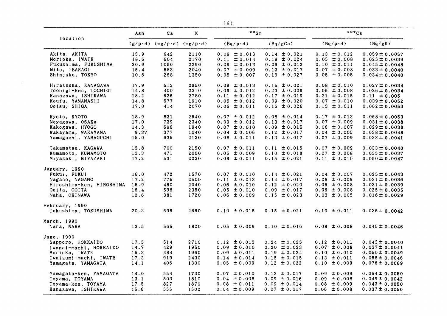|                          |      |                                   |      | (6)              |                  |                  |                    |
|--------------------------|------|-----------------------------------|------|------------------|------------------|------------------|--------------------|
|                          | Ash  | Ca                                | K    | $\cdot \cdot$    |                  | 137Cs            |                    |
| Location                 |      | $(g/p \cdot d)$ (mg/p·d) (mg/p·d) |      | $(Bq/p \cdot d)$ | (Bq/gCa)         | $(Bq/p \cdot d)$ | (Bq/gK)            |
| Akita, AKITA             | 15.9 | 642                               | 2110 | $0.09 \pm 0.013$ | $0.14 \pm 0.021$ | $0.13 \pm 0.012$ | $0.059 \pm 0.0057$ |
| Morioka, IWATE           | 18.6 | 604                               | 2170 | $0.11 \pm 0.014$ | $0.19 \pm 0.024$ | $0.05 \pm 0.008$ | $0.025 \pm 0.0039$ |
| Fukushima, FUKUSHIMA     | 20.9 | 1050                              | 2290 | $0.09 \pm 0.013$ | $0.09 \pm 0.012$ | $0.10 \pm 0.011$ | $0.045 \pm 0.0048$ |
| Mito, IBARAGI            | 15.4 | 553                               | 2040 | $0.07 \pm 0.009$ | $0.13 \pm 0.017$ | $0.07 \pm 0.008$ | $0.033 \pm 0.0040$ |
| Shinjuku, TOKYO          | 10.6 | 268                               | 1350 | $0.05 \pm 0.007$ | $0.19 \pm 0.027$ | $0.05 \pm 0.005$ | $0.034 \pm 0.0040$ |
| Hiratsuka, KANAGAWA      | 17.9 | 613                               | 2950 | $0.09 \pm 0.013$ | $0.15 \pm 0.021$ | $0.08 \pm 0.010$ | $0.027 \pm 0.0034$ |
| Tochigi-ken, TOCHIGI     | 14.8 | 400                               | 2310 | $0.09 \pm 0.012$ | $0.23 \pm 0.029$ | $0.06 \pm 0.008$ | $0.026 \pm 0.0034$ |
| Kanazawa, ISHIKAWA       | 18.2 | 626                               | 2780 | $0.11 \pm 0.012$ | $0.17 \pm 0.019$ | $0.31 \pm 0.015$ | $0.11 \pm 0.005$   |
| Koufu, YAMANASHI         | 14.8 | 577                               | 1910 | $0.05 \pm 0.012$ | $0.09 \pm 0.020$ | $0.07 \pm 0.010$ | $0.039 \pm 0.0052$ |
| Ootsu, SHIGA             | 17.0 | 414                               | 2070 | $0.06 \pm 0.011$ | $0.16 \pm 0.026$ | $0.13 \pm 0.011$ | $0.062 \pm 0.0053$ |
| Kyoto, KYOTO             | 18.9 | 831                               | 2540 | $0.07 \pm 0.012$ | $0.08 \pm 0.014$ | $0.17 \pm 0.013$ | $0.068 \pm 0.0053$ |
| Neyagawa, OSAKA          | 17.0 | 739                               | 2340 | $0.09 \pm 0.012$ | $0.13 \pm 0.017$ | $0.07 \pm 0.009$ | $0.031 \pm 0.0038$ |
| Kakogawa, HYOGO          | 14.3 | 696                               | 1940 | $0.07 \pm 0.010$ | $0.09 \pm 0.015$ | $0.06 \pm 0.007$ | $0.029 \pm 0.0038$ |
| Wakayama, WAKAYAMA       | 9.37 | 377                               | 1040 | $0.04 \pm 0.006$ | $0.12 \pm 0.017$ | $0.04 \pm 0.005$ | $0.038 \pm 0.0048$ |
| Yamaguchi, YAMAGUCHI     | 15.0 | 635                               | 2130 | $0.08 \pm 0.011$ | $0.13 \pm 0.017$ | $0.07 \pm 0.009$ | $0.033 \pm 0.0041$ |
| Takamatsu, KAGAWA        | 15.8 | 700                               | 2150 | $0.07 \pm 0.011$ | $0.11 \pm 0.015$ | $0.07 \pm 0.009$ | $0.033 \pm 0.0040$ |
| Kumamoto, KUMAMOTO       | 13.3 | 471                               | 2060 | $0.05 \pm 0.009$ | $0.10 \pm 0.018$ | $0.07 \pm 0.008$ | $0.035 \pm 0.0037$ |
| Miyazaki, MIYAZAKI       | 17.2 | 531                               | 2230 | $0.08 \pm 0.011$ | $0.15 \pm 0.021$ | $0.11 \pm 0.010$ | $0.050 \pm 0.0047$ |
| January, 1990            |      |                                   |      |                  |                  |                  |                    |
| Fukui, FUKUI             | 16.0 | 472                               | 1570 | $0.07 \pm 0.010$ | $0.14 \pm 0.021$ | $0.04 \pm 0.007$ | $0.025 \pm 0.0043$ |
| Nagano, NAGANO           | 17.2 | 775                               | 2500 | $0.11 \pm 0.013$ | $0.14 \pm 0.017$ | $0.08 \pm 0.009$ | $0.031 \pm 0.0036$ |
| Hiroshima-ken, HIROSHIMA | 15.9 | 480                               | 2040 | $0.06 \pm 0.010$ | $0.12 \pm 0.020$ | $0.06 \pm 0.008$ | $0.031 \pm 0.0039$ |
| Ooita, OOITA             | 16.4 | 598                               | 2350 | $0.05 \pm 0.010$ | $0.09 \pm 0.017$ | $0.06 \pm 0.008$ | $0.025 \pm 0.0035$ |
| Naha, OKINAWA            | 12.6 | 381                               | 1720 | $0.06 \pm 0.009$ | $0.15 \pm 0.023$ | $0.03 \pm 0.005$ | $0.016 \pm 0.0029$ |
| February, 1990           |      |                                   |      |                  |                  |                  |                    |
| Tokushima, TOKUSHIMA     | 20.3 | 696                               | 2660 | $0.10 \pm 0.015$ | $0.15 \pm 0.021$ | $0.10 \pm 0.011$ | $0.036 \pm 0.0042$ |
| March, 1990              |      |                                   |      |                  |                  |                  |                    |
| Nara, NARA               | 13.5 | 565                               | 1820 | $0.05 \pm 0.009$ | $0.10 \pm 0.016$ | $0.08 \pm 0.008$ | $0.045 \pm 0.0046$ |
| June, 1990               |      |                                   |      |                  |                  |                  |                    |
| Sapporo, HOKKAIDO        | 17.5 | 514                               | 2710 | $0.12 \pm 0.013$ | $0.24 \pm 0.025$ | $0.12 \pm 0.011$ | $0.043 \pm 0.0040$ |
| Iwanai-machi, HOKKAIDO   | 14.7 | 429                               | 1950 | $0.09 \pm 0.010$ | $0.20 \pm 0.023$ | $0.07 \pm 0.008$ | $0.037 \pm 0.0041$ |
| Morioka, IWATE           | 15.3 | 484                               | 1960 | $0.09 \pm 0.011$ | $0.19 \pm 0.024$ | $0.10 \pm 0.010$ | $0.050 \pm 0.0049$ |
| Iwaizumi-machi, IWATE    | 17.3 | 919                               | 2430 | $0.14 \pm 0.014$ | $0.15 \pm 0.015$ | $0.13 \pm 0.011$ | $0.055 \pm 0.0046$ |
| Yamagata, YAMAGATA       | 14.1 | 406                               | 1300 | $0.05 \pm 0.009$ | $0.12 \pm 0.022$ | $0.10 \pm 0.009$ | $0.076 \pm 0.0069$ |
| Yamagata-ken, YAMAGATA   | 14.0 | 554                               | 1730 | $0.07 \pm 0.010$ | $0.13 \pm 0.017$ | $0.09 \pm 0.009$ | $0.054 \pm 0.0050$ |
| Toyama, TOYAMA           | 13.1 | 503                               | 1810 | $0.04 \pm 0.008$ | $0.09 \pm 0.016$ | $0.09 \pm 0.008$ | $0.049 \pm 0.0043$ |
| Toyama-ken, TOYAMA       | 17.5 | 827                               | 1870 | $0.08 \pm 0.011$ | $0.09 \pm 0.014$ | $0.08 \pm 0.009$ | $0.043 \pm 0.0050$ |
| Kanazawa, ISHIKAWA       | 15.6 | 555                               | 1500 | $0.04 \pm 0.009$ | $0.07 \pm 0.017$ | $0.06 \pm 0.008$ | $0.037 \pm 0.0050$ |

 $\sim$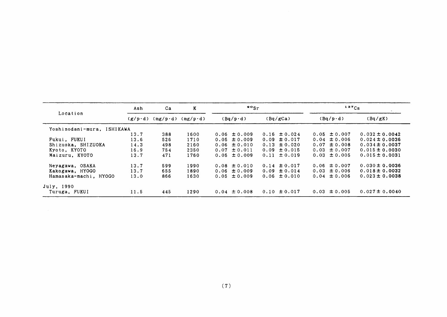|                            | Ash             | Ca               | K                | $\frac{90}{5}$ r |                  | $137C_S$         |                    |  |
|----------------------------|-----------------|------------------|------------------|------------------|------------------|------------------|--------------------|--|
| Location                   | $(g/p \cdot d)$ | $(mg/p \cdot d)$ | $(mg/p \cdot d)$ | $(Bq/p \cdot d)$ | (Bq/gCa)         | $(Bq/p \cdot d)$ | (Bq/gK)            |  |
| Yoshinodani-mura, ISHIKAWA |                 |                  |                  |                  |                  |                  |                    |  |
|                            | 13.7            | 388              | 1600             | $0.06 \pm 0.009$ | $0.16 \pm 0.024$ | $0.05 \pm 0.007$ | $0.032 \pm 0.0042$ |  |
| Fukui, FUKUI               | 13.6            | 526              | 1710             | $0.05 \pm 0.009$ | $0.09 \pm 0.017$ | $0.04 \pm 0.006$ | $0.024 \pm 0.0036$ |  |
| Shizuoka, SHIZUOKA         | 14.3            | 498              | 2160             | $0.06 \pm 0.010$ | $0.13 \pm 0.020$ | $0.07 \pm 0.008$ | $0.034 \pm 0.0037$ |  |
| Kyoto, KYOTO               | 16.9            | 754              | 2350             | $0.07 \pm 0.011$ | $0.09 \pm 0.015$ | $0.03 \pm 0.007$ | $0.015 \pm 0.0030$ |  |
| Maizuru, KYOTO             | 13.7            | 471              | 1760             | $0.05 \pm 0.009$ | $0.11 \pm 0.019$ | $0.03 \pm 0.005$ | $0.015 \pm 0.0031$ |  |
| Neyagawa, OSAKA            | 13.7            | 599              | 1990             | $0.08 \pm 0.010$ | $0.14 \pm 0.017$ | $0.06 \pm 0.007$ | $0.030 \pm 0.0036$ |  |
| Kakogawa, HYOGO            | 13.7            | 655              | 1890             | $0.06 \pm 0.009$ | $0.09 \pm 0.014$ | $0.03 \pm 0.006$ | $0.018 \pm 0.0032$ |  |
| Hamasaka-machi, HYOGO      | 13.0            | 866              | 1630             | $0.05 \pm 0.009$ | $0.06 \pm 0.010$ | $0.04 \pm 0.006$ | $0.023 \pm 0.0038$ |  |
| July, 1990                 |                 |                  |                  |                  |                  |                  |                    |  |
| Turuga, FUKUI              | 11.5            | 445              | 1290             | $0.04 \pm 0.008$ | $0.10 \pm 0.017$ | $0.03 \pm 0.005$ | $0.027 \pm 0.0040$ |  |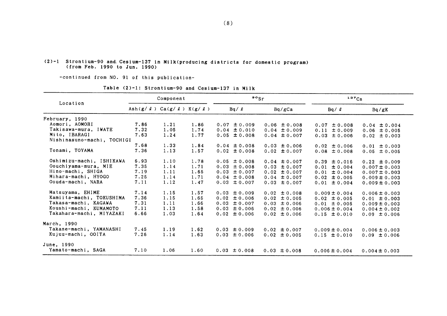#### $(2)-1$  Strontium-90 and Cesium-137 in Milk(producing districts for domestic program) (from Feb. 1990 to Jun. 1990)

-continued from NO. 91 of this publication-

Component  $\frac{90}{ST}$  137 $C_S$ Loeation Ash(g/ $\ell$ ) Ca(g/ $\ell$ ) K(g/ $\ell$ ) Bq/ $\ell$  Bq/gCa Bq/ $\ell$  Bq/gK February, 1990 Aomori, AOMORI Takisawa-mura,IWATE Mito,IBARAGI Nishinasuno-maChi,TOCHIGI Tonami, TOYAMA Oshimizu-machi, ISHIKAWA Oouchiyama-mura, MIE Hino-machi, SHIGA Mihara-machi, HYOGO Oouda-machi, NARA Matsuyama, EHIME Kamiita-machi, TOKUSHIMA Takasa-machi, KAGAWA Xoushi-maChi,ⅩUMAMOTO Takahara-machi, MIYAZAKI Mareh,1990 Takane-maChi,YAMANASHI Kujuu-maChi,00ITA June,1990 Yamato-machi, SAGA 7.86 1.21 1.86  $0.07 \pm 0.009$ <br>7.32 1.05 1.74  $0.04 \pm 0.010$  $1.05$   $1.74$   $0.04 \pm 0.010$  $1.24$   $1.77$  0.05  $\pm$  0.008 7.68 1.33 1.84 0.04 ±0.008  $1.13$  1.57 0.02  $\pm$  0.008 0.06 ±0.008  $0.04 \pm 0.009$  $0.04 \pm 0.007$  $0.03 \pm 0.006$  $0.02 \pm 0.007$  $0.04 \pm 0.007$  $0.03 \pm 0.007$  $0.02 \pm 0.007$  $0.04 \pm 0.007$  $0.03 \pm 0.007$ 0.02 士0.008  $0.02 \pm 0.005$  $0.03 \pm 0.006$  $0.02 \pm 0.006$ 0.02 ±0.006  $0.07 \pm 0.008$  $0.11 \pm 0.009$  $0.03 \pm 0.006$  $0.02 \pm 0.006$  $0.08 \pm 0.008$  $0.39 \pm 0.016$  $0.01 \pm 0.004$  $0.01 \pm 0.004$  $0.02 \pm 0.005$  $0.01 \pm 0.004$ 0.009±0.004  $0.02 \pm 0.005$  $0.01 \pm 0.005$ 0.006±0.004  $0.15 \pm 0.010$  $0.04 \pm 0.004$  $0.06 \pm 0.005$  $0.02 \pm 0.003$  $0.01 \pm 0.003$  $0.05 \pm 0.005$  $0.22 \pm 0.009$  $0.007 \pm 0.003$  $0.007 \pm 0.003$  $0.009 \pm 0.003$ 0.009±0.003 0.006±0.003  $0.01 \pm 0.003$  $0.009 \pm 0.003$  $0.004 \pm 0.002$  $0.09 \pm 0.006$ 6.93 1.10 7.35 1.14 7.19 1.11 7.25 1.14 7.11 1.12 7.14 1.15 7.36 1.15 7.31 1.11 7.11 1.13 6.66 1.03 1.78 0.05 ±0.008  $1.71$  0.03  $\pm$  0.008  $1.65$  0.03  $\pm$  0.007 1.71 0.04 ±0.008  $1.47$  0.03  $\pm$  0.007  $1.57$  0.03  $\pm$  0.009 1.65 0,02 ±0.006 1.66 0.03 ±0.007 1.58 0.03 ±0.006  $1.64$  0.02  $\pm$  0.006 7.45 1.19 7.26 1.14  $1.62$  0.03  $\pm$  0.009  $1.63$  0.03  $\pm$  0.006  $0.02 \pm 0.007$  $0.02 \pm 0.005$  $0.009 \pm 0.004$  $0.15 \pm 0.010$ 0.006±0.003  $0.09 \pm 0.006$ 7.10 1.06 1.60 0.03  $\pm$  0.008 0.03  $\pm$  0.008 0.006  $\pm$  0.004 0.004  $\pm$  0.003

Table (2)-1: Strontium-90 and Cesium-137 in Milk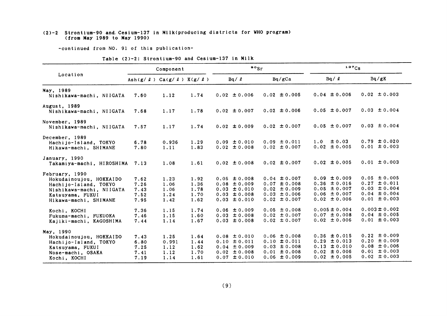#### (2)-2 Strontium-90 and Cesium-137 in Milk(producing districts for WHO program) (from May 1989 to May 1990)

-continued from NO. 91 of this publication-

Xochi,ⅩOCHI

|                           |                                                 |           |      | TADIC (27-2. DITURITUM JV GRU VUJIUM IOT IN MIIA |                  |                   |                   |
|---------------------------|-------------------------------------------------|-----------|------|--------------------------------------------------|------------------|-------------------|-------------------|
|                           |                                                 | Component |      | $\cdot$ $\cdot$                                  |                  | $137C_S$          |                   |
| Location                  | Ash $(g / \ell)$ Ca $(g / \ell)$ K $(g / \ell)$ |           |      | Bq / q                                           | Bq/gCa           | $Bq / \ell$       | Bq/gK             |
| <b>May, 1989</b>          |                                                 |           |      |                                                  |                  |                   |                   |
| Nishikawa-machi, NIIGATA  | 7.60                                            | 1.12      | 1.74 | $0.02 \pm 0.006$                                 | $0.02 \pm 0.005$ | $0.04 \pm 0.006$  | $0.02 \pm 0.003$  |
| August, 1989              |                                                 |           |      |                                                  |                  |                   |                   |
| Nishikawa-machi, NIIGATA  | 7.68                                            | 1.17      | 1.78 | $0.02 \pm 0.007$                                 | $0.02 \pm 0.006$ | $0.05 \pm 0.007$  | $0.03 \pm 0.004$  |
| November, 1989            |                                                 |           |      |                                                  |                  |                   |                   |
| Nishikawa-machi, NIIGATA  | 7.57                                            | 1.17      | 1.74 | $0.02 \pm 0.009$                                 | $0.02 \pm 0.007$ | $0.05 \pm 0.007$  | $0.03 \pm 0.004$  |
| December, 1989            |                                                 |           |      |                                                  |                  |                   |                   |
| Hachijo-Island, TOKYO     | 6.78                                            | 0.936     | 1.29 | $0.09 \pm 0.010$                                 | $0.09 \pm 0.011$ | $1.0 \pm 0.03$    | $0.79 \pm 0.020$  |
| Hikawa-machi, SHIMANE     | 7.80                                            | 1.11      | 1.83 | $0.02 \pm 0.008$                                 | $0.02 \pm 0.007$ | $0.02 \pm 0.005$  | $0.01 \pm 0.003$  |
| January, 1990             |                                                 |           |      |                                                  |                  |                   |                   |
| Takamiya-machi, HIROSHIMA | 7.13                                            | 1.08      | 1.61 | $0.02 \pm 0.008$                                 | $0.02 \pm 0.007$ | $0.02 \pm 0.005$  | $0.01 \pm 0.003$  |
| February, 1990            |                                                 |           |      |                                                  |                  |                   |                   |
| Hokudainoujou, HOKKAIDO   | 7.62                                            | 1.23      | 1.92 | $0.05 \pm 0.008$                                 | $0.04 \pm 0.007$ | $0.09 \pm 0.009$  | $0.05 \pm 0.005$  |
| Hachijo-Island, TOKYO     | 7.26                                            | 1.06      | 1.36 | $0.08 \pm 0.009$                                 | $0.07 \pm 0.008$ | $0.36 \pm 0.016$  | $0.27 \pm 0.011$  |
| Nishikawa-machi, NIIGATA  | 7.43                                            | 1.06      | 1.78 | $0.03 \pm 0.010$                                 | $0.02 \pm 0.009$ | $0.05 \pm 0.007$  | $0.03 \pm 0.004$  |
| Katsuyama, FUKUI          | 7.52                                            | 1.24      | 1.70 | $0.03 \pm 0.008$                                 | $0.03 \pm 0.006$ | $0.06 \pm 0.007$  | $0.04 \pm 0.004$  |
| Hikawa-machi, SHIMANE     | 7.95                                            | 1.42      | 1.62 | $0.03 \pm 0.010$                                 | $0.02 \pm 0.007$ | $0.02 \pm 0.006$  | $0.01 \pm 0.003$  |
| Kochi, KOCHI              | 7.36                                            | 1.15      | 1.74 | $0.06 \pm 0.009$                                 | $0.05 \pm 0.008$ | $0.005 \pm 0.004$ | $0.003 \pm 0.002$ |
| Fukuma-machi, FUKUOKA     | 7.46                                            | 1.15      | 1.60 | $0.03 \pm 0.008$                                 | $0.02 \pm 0.007$ | $0.07 \pm 0.008$  | $0.04 \pm 0.005$  |
| Kajiki-machi, KAGOSHIMA   | 7.44                                            | 1.14      | 1.67 | $0.03 \pm 0.008$                                 | $0.02 \pm 0.007$ | $0.02 \pm 0.006$  | $0.01 \pm 0.003$  |
| May, 1990                 |                                                 |           |      |                                                  |                  |                   |                   |
| Hokudainoujou, HOKKAIDO   | 7.43                                            | 1.25      | 1.64 | $0.08 \pm 0.010$                                 | $0.06 \pm 0.008$ | $0.36 \pm 0.015$  | $0.22 \pm 0.009$  |
| Hachijo-Island, TOKYO     | 6.80                                            | 0.991     | 1.44 | $0.10 \pm 0.011$                                 | $0.10 \pm 0.011$ | $0.29 \pm 0.013$  | $0.20 \pm 0.009$  |
| Katsuyama, FUKUI          | 7.25                                            | 1.12      | 1.62 | $0.04 \pm 0.009$                                 | $0.03 \pm 0.008$ | $0.13 \pm 0.010$  | $0.08 \pm 0.006$  |
| Nose-machi, OSAKA         | 7.41                                            | 1.12      | 1.70 | $0.02 \pm 0.008$                                 | $0.01 \pm 0.008$ | $0.02 \pm 0.006$  | $0.01 \pm 0.003$  |
| Kochi, KOCHI              | 7.19                                            | 1.14      | 1.61 | $0.07 \pm 0.010$                                 | $0.06 \pm 0.009$ | $0.02 \pm 0.005$  | $0.02 \pm 0.003$  |

| Table (2)-2: Strontium-90 and Cesium-137 in Milk |  |  |  |  |
|--------------------------------------------------|--|--|--|--|
|--------------------------------------------------|--|--|--|--|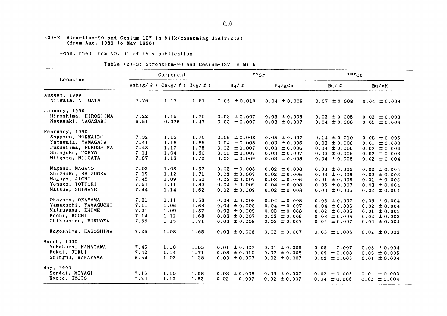#### (2)-3 Strontium-90 and Cesium-137 in Milk(consuming districts) (from Aug.1989 to Hay1990)

-continued from NO. 91 of this publication-

### Table (2)-3: Strontium-90 and Cesium-137 in Milk

 $\sim 100$  km  $^{-1}$ 

|                                            |                                                       | Component     |              | $\frac{80}{s}$                       |                                      | 137Cs |                                      |  |                                      |
|--------------------------------------------|-------------------------------------------------------|---------------|--------------|--------------------------------------|--------------------------------------|-------|--------------------------------------|--|--------------------------------------|
| Location                                   | Ash( $g/$ $\ell$ ) Ca( $g/$ $\ell$ ) K( $g/$ $\ell$ ) |               |              | $Bq / \ell$                          | Bq/gCa                               |       | $Bq / \ell$                          |  | Bq/gK                                |
| August, 1989<br>Niigata, NIIGATA           | 7.76                                                  | 1.17          | 1.81         | $0.05 \pm 0.010$                     | $0.04 \pm 0.009$                     |       | $0.07 \pm 0.008$                     |  | $0.04 \pm 0.004$                     |
| January, 1990                              |                                                       |               |              |                                      |                                      |       |                                      |  |                                      |
| Hiroshima, HIROSHIMA<br>Nagasaki, NAGASAKI | 7.22<br>6.51                                          | 1.15<br>0.976 | 1.70<br>1.47 | $0.03 \pm 0.007$<br>$0.03 \pm 0.007$ | $0.03 \pm 0.006$<br>$0.03 \pm 0.007$ |       | $0.03 \pm 0.005$<br>$0.04 \pm 0.006$ |  | $0.02 \pm 0.003$<br>$0.03 \pm 0.004$ |
| February, 1990                             |                                                       |               |              |                                      |                                      |       |                                      |  |                                      |
| Sapporo, HOKKAIDO                          | 7.32                                                  | 1.16          | 1.70         | $0.06 \pm 0.008$                     | $0.05 \pm 0.007$                     |       | $0.14 \pm 0.010$                     |  | $0.08 \pm 0.006$                     |
| Yamagata, YAMAGATA                         | 7.41                                                  | 1.18          | 1.86         | $0.04 \pm 0.008$                     | $0.03 \pm 0.006$                     |       | $0.03 \pm 0.006$                     |  | $0.01 \pm 0.003$                     |
| Fukushima, FUKUSHIMA                       | 7.48                                                  | 1.17          | 1.75         | $0.03 \pm 0.007$                     | $0.03 \pm 0.006$                     |       | $0.04 \pm 0.006$                     |  | $0.03 \pm 0.004$                     |
| Shinjuku, TOKYO                            | 7.11                                                  | 1.04          | 1.50         | $0.03 \pm 0.007$                     | $0.03 \pm 0.007$                     |       | $0.03 \pm 0.005$                     |  | $0.02 \pm 0.003$                     |
| Niigata, NIIGATA                           | 7.67                                                  | 1.13          | 1.72         | $0.03 \pm 0.009$                     | $0.03 \pm 0.008$                     |       | $0.04 \pm 0.006$                     |  | $0.02 \pm 0.004$                     |
| Nagano, NAGANO                             | 7.02                                                  | 1.06          | 1.57         | $0.02 \pm 0.008$                     | $0.02 \pm 0.008$                     |       | $0.03 \pm 0.006$                     |  | $0.02 \pm 0.004$                     |
| Shizuoka, SHIZUOKA                         | 7.19                                                  | 1.12          | 1.71         | $0.02 \pm 0.007$                     | $0.02 \pm 0.006$                     |       | $0.03 \pm 0.006$                     |  | $0.02 \pm 0.003$                     |
| Nagoya, AICHI                              | 7.45                                                  | 1.09          | 1.50         | $0.03 \pm 0.007$                     | $0.03 \pm 0.006$                     |       | $0.01 \pm 0.005$                     |  | $0.01 \pm 0.003$                     |
| Yonago, TOTTORI                            | 7.51                                                  | 1.11          | 1.83         | $0.04 \pm 0.009$                     | $0.04 \pm 0.008$                     |       | $0.06 \pm 0.007$                     |  | $0.03 \pm 0.004$                     |
| Matsue, SHIMANE                            | 7.44                                                  | 1.14          | 1.62         | $0.02 \pm 0.009$                     | $0.02 \pm 0.008$                     |       | $0.03 \pm 0.006$                     |  | $0.02 \pm 0.004$                     |
| Okayama, OKAYAMA                           | 7.31                                                  | 1.11          | 1.58         | $0.04 \pm 0.008$                     | $0.04 \pm 0.008$                     |       | $0.05 \pm 0.007$                     |  | $0.03 \pm 0.004$                     |
| Yamaguchi, YAMAGUCHI                       | 7.11                                                  | 1.06          | 1.64         | $0.04 \pm 0.008$                     | $0.04 \pm 0.007$                     |       | $0.04 \pm 0.006$                     |  | $0.02 \pm 0.004$                     |
| Matsuyama, EHIME                           | 7.21                                                  | 1.09          | 1.57         | $0.03 \pm 0.009$                     | $0.03 \pm 0.008$                     |       | $0.02 \pm 0.005$                     |  | $0.01 \pm 0.003$                     |
| Kochi, KOCHI                               | 7.14                                                  | 1.12          | 1.68         | $0.03 \pm 0.007$                     | $0.02 \pm 0.006$                     |       | $0.03 \pm 0.005$                     |  | $0.02 \pm 0.003$                     |
| Chikushino, FUKUOKA                        | 7.56                                                  | 1.15          | 1.71         | $0.03 \pm 0.008$                     | $0.03 \pm 0.007$                     |       | $0.04 \pm 0.007$                     |  | $0.02 \pm 0.004$                     |
| Kagoshima, KAGOSHIMA                       | 7.25                                                  | 1.08          | 1.65         | $0.03 \pm 0.008$                     | $0.03 \pm 0.007$                     |       | $0.03 \pm 0.005$                     |  | $0.02 \pm 0.003$                     |
| March, 1990                                |                                                       |               |              |                                      |                                      |       |                                      |  |                                      |
| Yokohama, KANAGAWA                         | 7.46                                                  | 1.10          | 1.65         | $0.01 \pm 0.007$                     | $0.01 \pm 0.006$                     |       | $0.05 \pm 0.007$                     |  | $0.03 \pm 0.004$                     |
| Fukui, FUKUI                               | 7.42                                                  | 1.14          | 1.71         | $0.08 \pm 0.010$                     | $0.07 \pm 0.008$                     |       | $0.09 \pm 0.008$                     |  | $0.05 \pm 0.005$                     |
| Shinguu, WAKAYAMA                          | 6.54                                                  | 1.02          | 1.38         | $0.03 \pm 0.007$                     | $0.02 \pm 0.007$                     |       | $0.02 \pm 0.005$                     |  | $0.01 \pm 0.004$                     |
| May, 1990                                  |                                                       |               |              |                                      |                                      |       |                                      |  |                                      |
| Sendai, MIYAGI                             | 7.15                                                  | 1.10          | 1.68         | $0.03 \pm 0.008$                     | $0.03 \pm 0.007$                     |       | $0.02 \pm 0.005$                     |  | $0.01 \pm 0.003$                     |
| Kyoto, KYOTO                               | 7.24                                                  | 1.12          | 1.62         | $0.02 \pm 0.007$                     | $0.02 \pm 0.007$                     |       | $0.04 \pm 0.006$                     |  | $0.02 \pm 0.004$                     |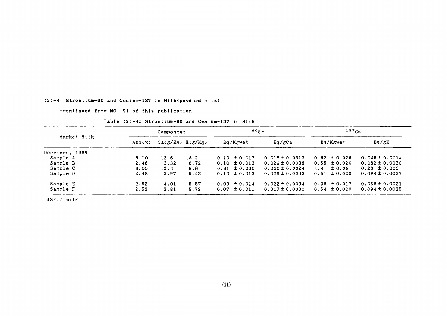#### (2)-4 Strontium-90 and Cesium-137 in Milk(powderd milk)

-continued from NO. 91 of this publication-

Table (2)-4: Strontium-90 and Cesium-137 in Milk

|                |        | Component |                      | $\mathfrak{so}_{\mathrm{Sr}}$ |                    | $137C_S$          |                    |  |
|----------------|--------|-----------|----------------------|-------------------------------|--------------------|-------------------|--------------------|--|
| Market Milk    | Ash(X) |           | $Ca(g/Kg)$ $K(g/Kg)$ | Bq/Kgwet                      | Bq/gCa             | Bq/Kgwet          | Bq/gK              |  |
| December, 1989 |        |           |                      |                               |                    |                   |                    |  |
| Sample A       | 8.10   | 12.6      | 18.2                 | $0.19 \pm 0.017$              | $0.015 \pm 0.0013$ | $0.82 \pm 0.026$  | $0.045 \pm 0.0014$ |  |
| Sample B       | 2.46   | 3.32      | 6.72                 | $0.10 \pm 0.013$              | $0.029 \pm 0.0038$ | $0.55 \pm 0.020$  | $0.082 \pm 0.0030$ |  |
| Sample C       | 8.05   | 12.4      | 18.8                 | $0.81 \pm 0.030$              | $0.066 \pm 0.0024$ | $\pm$ 0.06<br>4.4 | $0.23 \pm 0.003$   |  |
| Sample D       | 2.48   | 3.97      | 5.43                 | $0.10 \pm 0.013$              | $0.026 \pm 0.0033$ | $0.51 \pm 0.020$  | $0.094 \pm 0.0037$ |  |
| Sample E       | 2.52   | 4.01      | 5.57                 | $0.09 \pm 0.014$              | $0.022 \pm 0.0034$ | $0.38 \pm 0.017$  | $0.068 \pm 0.0031$ |  |
| Sample F       | 2.52   | 3.81      | 5.72                 | $0.07 \pm 0.011$              | $0.017 \pm 0.0030$ | $0.54 \pm 0.020$  | $0.094 \pm 0.0035$ |  |

\*Skim milk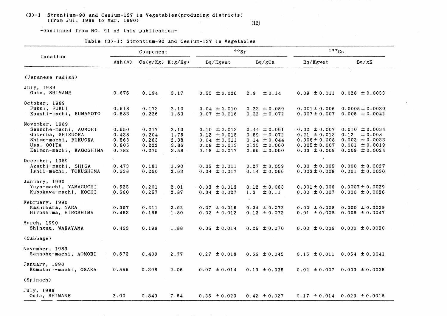#### (3)-1 Strontium-90 and Cesium-137 in Vegetables (producing districts) (from Jul. 1989 to Mar. 1990)

 $(12)$ 

-continued from NO. 91 of this publication-

|                                                                                                                               |                                           | Component                                 |                                      | $\frac{90}{5}$                                                                                   |                                                                                                  | $137C_S$                                                                                           |                                                                                                         |  |
|-------------------------------------------------------------------------------------------------------------------------------|-------------------------------------------|-------------------------------------------|--------------------------------------|--------------------------------------------------------------------------------------------------|--------------------------------------------------------------------------------------------------|----------------------------------------------------------------------------------------------------|---------------------------------------------------------------------------------------------------------|--|
| Location                                                                                                                      | Ash(x)                                    | $Ca(g/Kg)$ $K(g/Kg)$                      |                                      | Bq/Kgwet                                                                                         | Bq/gCa                                                                                           | Bq/Kgwet                                                                                           | Bq/gK                                                                                                   |  |
| (Japanese radish)                                                                                                             |                                           |                                           |                                      |                                                                                                  |                                                                                                  |                                                                                                    |                                                                                                         |  |
| July, 1989<br>Oota, SHIMANE                                                                                                   | 0.676                                     | 0.194                                     | 3.17                                 | $0.55 \pm 0.026$                                                                                 | $\pm$ 0.14<br>2.9                                                                                | $0.09 \pm 0.011$                                                                                   | $0.028 \pm 0.0033$                                                                                      |  |
| October, 1989<br>Fukui, FUKUI<br>Koushi-machi, KUMAMOTO                                                                       | 0.518<br>0.583                            | 0.173<br>0.226                            | 2.10<br>1.63                         | $0.04 \pm 0.010$<br>$0.07 \pm 0.016$                                                             | $0.23 \pm 0.059$<br>$0.32 \pm 0.072$                                                             | $0.001 \pm 0.006$<br>$0.007 \pm 0.007$                                                             | $0.0005 \pm 0.0030$<br>$0.005 \pm 0.0042$                                                               |  |
| November, 1989<br>Sannohe-machi, AOMORI<br>Gotenba, SHIZUOKA<br>Shime-machi, FUKUOKA<br>Usa, OOITA<br>Kaimon-machi, KAGOSHIMA | 0.550<br>0.438<br>0.563<br>0.805<br>0.782 | 0.217<br>0.204<br>0.263<br>0.222<br>0.275 | 2.13<br>1.75<br>2.38<br>3.86<br>3.58 | $0.10 \pm 0.013$<br>$0.12 \pm 0.015$<br>$0.04 \pm 0.011$<br>$0.08 \pm 0.013$<br>$0.18 \pm 0.017$ | $0.44 \pm 0.061$<br>$0.59 \pm 0.072$<br>$0.14 \pm 0.044$<br>$0.35 \pm 0.060$<br>$0.66 \pm 0.060$ | $0.02 \pm 0.007$<br>$0.21 \pm 0.013$<br>$0.008 \pm 0.008$<br>$0.005 \pm 0.007$<br>$0.03 \pm 0.009$ | $0.010 \pm 0.0034$<br>± 0.008<br>0.12<br>$0.003 \pm 0.0033$<br>$0.001 \pm 0.0019$<br>$0.009 \pm 0.0024$ |  |
| December, 1989<br>Azuchi-machi, SHIGA<br>Ishii-machi, TOKUSHIMA                                                               | 0.473<br>0.638                            | 0.181<br>0.260                            | 1.90<br>2.63                         | $0.05 \pm 0.011$<br>$0.04 \pm 0.017$                                                             | $0.27 \pm 0.059$<br>$0.14 \pm 0.066$                                                             | $0.00 \pm 0.005$<br>$0.003 \pm 0.008$                                                              | $0.000 \pm 0.0027$<br>$0.001 \pm 0.0030$                                                                |  |
| January, 1990<br>Yuya-machi, YAMAGUCHI<br>Kubokawa-machi, KOCHI                                                               | 0.525<br>0.660                            | 0.201<br>0.257                            | 2.01<br>2.87                         | $0.03 \pm 0.013$<br>$0.34 \pm 0.027$                                                             | $0.12 \pm 0.063$<br>$1.3 \pm 0.11$                                                               | $0.001 \pm 0.006$<br>$0.00 \pm 0.007$                                                              | $0.0007 \pm 0.0029$<br>$0.000 \pm 0.0026$                                                               |  |
| February, 1990<br>Kashihara, NARA<br>Hiroshima, HIROSHIMA                                                                     | 0.667<br>0.453                            | 0.211<br>0.165                            | 2.62<br>1.80                         | $0.07 \pm 0.015$<br>$0.02 \pm 0.012$                                                             | $0.34 \pm 0.072$<br>$0.13 \pm 0.072$                                                             | $0.00 \pm 0.008$<br>$0.01 \pm 0.008$                                                               | $0.000 \pm 0.0029$<br>$0.006 \pm 0.0047$                                                                |  |
| March, 1990<br>Shinguu, WAKAYAMA                                                                                              | 0.463                                     | 0.199                                     | 1.88                                 | $0.05 \pm 0.014$                                                                                 | $0.25 \pm 0.070$                                                                                 | $0.00 \pm 0.006$                                                                                   | $0.000 \pm 0.0030$                                                                                      |  |
| (Cabbage)                                                                                                                     |                                           |                                           |                                      |                                                                                                  |                                                                                                  |                                                                                                    |                                                                                                         |  |
| November, 1989<br>Sannohe-machi, AOMORI                                                                                       | 0.673                                     | 0.409                                     | 2.77                                 | $0.27 \pm 0.018$                                                                                 | $0.66 \pm 0.045$                                                                                 | $0.15 \pm 0.011$                                                                                   | $0.054 \pm 0.0041$                                                                                      |  |
| January, 1990<br>Kumatori-machi, OSAKA                                                                                        | 0.555                                     | 0.398                                     | 2.06                                 | $0.07 \pm 0.014$                                                                                 | $0.19 \pm 0.035$                                                                                 | $0.02 \pm 0.007$                                                                                   | $0.009 \pm 0.0035$                                                                                      |  |
| (Spinach)                                                                                                                     |                                           |                                           |                                      |                                                                                                  |                                                                                                  |                                                                                                    |                                                                                                         |  |
| July, 1989<br>Oota, SHIMANE                                                                                                   | 2.00                                      | 0.849                                     | 7.64                                 | $0.35 \pm 0.023$                                                                                 | $0.42 \pm 0.027$                                                                                 | $0.17 \pm 0.014$                                                                                   | $0.023 \pm 0.0018$                                                                                      |  |

Table (3)-1: Strontium-90 and Cesium-137 in Vegetables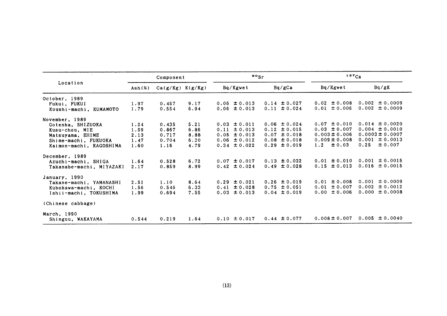|                          |        | Component            |      | $\frac{80}{5}$   |          |  |                  | 137Cs             |      |                     |  |
|--------------------------|--------|----------------------|------|------------------|----------|--|------------------|-------------------|------|---------------------|--|
| Location                 | Ash(x) | $Ca(g/Kg)$ $K(g/Kg)$ |      |                  | Bq/Kgwet |  | Bq/gCa           | Bq/Kgwet          |      | Bq/gK               |  |
| October, 1989            |        |                      |      |                  |          |  |                  |                   |      |                     |  |
| Fukui, FUKUI             | 1.97   | 0.457                | 9.17 | $0.06 \pm 0.013$ |          |  | $0.14 \pm 0.027$ | $0.02 \pm 0.008$  |      | $0.002 \pm 0.0009$  |  |
| Koushi-machi, KUMAMOTO   | 1.79   | 0.554                | 6.94 | $0.06 \pm 0.013$ |          |  | $0.11 \pm 0.024$ | $0.01 \pm 0.006$  |      | $0.002 \pm 0.0009$  |  |
| November, 1989           |        |                      |      |                  |          |  |                  |                   |      |                     |  |
| Gotenba, SHIZUOKA        | 1.24   | 0.435                | 5.21 | $0.03 \pm 0.011$ |          |  | $0.06 \pm 0.024$ | $0.07 \pm 0.010$  |      | $0.014 \pm 0.0020$  |  |
| Kusu-chou, MIE           | 1.59   | 0.867                | 6.86 | $0.11 \pm 0.013$ |          |  | $0.12 \pm 0.015$ | $0.03 \pm 0.007$  |      | $0.004 \pm 0.0010$  |  |
| Matsuyama, EHIME         | 2.13   | 0.717                | 8.88 | $0.05 \pm 0.013$ |          |  | $0.07 \pm 0.018$ | $0.003 \pm 0.006$ |      | $0.0003 \pm 0.0007$ |  |
| Shime-machi, FUKUOKA     | 1.47   | 0.704                | 6.20 | $0.06 \pm 0.012$ |          |  | $0.08 \pm 0.018$ | $0.009 \pm 0.008$ |      | $0.001 \pm 0.0013$  |  |
| Kaimon-machi, KAGOSHIMA  | 1.60   | 1.16                 | 4.79 | $0.34 \pm 0.022$ |          |  | $0.29 \pm 0.019$ | $1.2 \pm 0.03$    | 0.25 | ± 0.007             |  |
| December, 1989           |        |                      |      |                  |          |  |                  |                   |      |                     |  |
| Azuchi-machi, SHIGA      | 1.64   | 0.528                | 6.72 | $0.07 \pm 0.017$ |          |  | $0.13 \pm 0.032$ | $0.01 \pm 0.010$  |      | $0.001 \pm 0.0015$  |  |
| Takanabe-machi, MIYAZAKI | 2.17   | 0.859                | 8.99 | $0.42 \pm 0.024$ |          |  | $0.49 \pm 0.028$ | $0.15 \pm 0.013$  |      | $0.016 \pm 0.0015$  |  |
| January, 1990            |        |                      |      |                  |          |  |                  |                   |      |                     |  |
| Takane-machi, YAMANASHI  | 2.51   | 1.10                 | 8.64 | $0.29 \pm 0.021$ |          |  | $0.26 \pm 0.019$ | $0.01 \pm 0.008$  |      | $0.001 \pm 0.0009$  |  |
| Kubokawa-machi, KOCHI    | 1.56   | 0.546                | 6.33 | $0.41 \pm 0.028$ |          |  | $0.75 \pm 0.051$ | $0.01 \pm 0.007$  |      | $0.002 \pm 0.0012$  |  |
| Ishii-machi, TOKUSHIMA   | 1.99   | 0.694                | 7.55 | $0.03 \pm 0.013$ |          |  | $0.04 \pm 0.019$ | $0.00 \pm 0.006$  |      | $0.000 \pm 0.0008$  |  |
| (Chinese cabbage)        |        |                      |      |                  |          |  |                  |                   |      |                     |  |
| March, 1990              |        |                      |      |                  |          |  |                  |                   |      |                     |  |
| Shinguu, WAKAYAMA        | 0.544  | 0.219                | 1.64 | $0.10 \pm 0.017$ |          |  | $0.44 \pm 0.077$ | $0.008 \pm 0.007$ |      | $0.005 \pm 0.0040$  |  |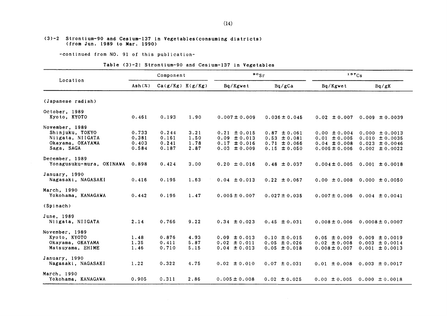#### (3)-2 Strontium-90 and Cesium-137 in Vegetables(consuming districts)  $(from Jun.1989 to Mar.1990)$

-continued from NO. 91 of this publication-

#### Table (3)-2: Strontium-90 and Cesium-137 in Vegetables

|                                                                                         | Component                        |                                  |                              | $\frac{90}{s}$ r                                                             |                                                                              | 137Cs                                                                         |                                                                                      |  |
|-----------------------------------------------------------------------------------------|----------------------------------|----------------------------------|------------------------------|------------------------------------------------------------------------------|------------------------------------------------------------------------------|-------------------------------------------------------------------------------|--------------------------------------------------------------------------------------|--|
| Location                                                                                | Ash(%)                           | $Ca(g/Kg)$ $K(g/Kg)$             |                              | Bq/Kgwet                                                                     | Bq/gCa                                                                       | Bq/Kgwet                                                                      | Bq/gK                                                                                |  |
| (Japanese radish)                                                                       |                                  |                                  |                              |                                                                              |                                                                              |                                                                               |                                                                                      |  |
| October, 1989<br>Kyoto, KYOTO                                                           | 0.461                            | 0.193                            | 1.90                         | $0.007 \pm 0.009$                                                            | $0.036 \pm 0.045$                                                            | $0.02 \pm 0.007$                                                              | $0.009 \pm 0.0039$                                                                   |  |
| November, 1989<br>Shinjuku, TOKYO<br>Niigata, NIIGATA<br>Okayama, OKAYAMA<br>Saga, SAGA | 0.733<br>0.381<br>0.403<br>0.584 | 0.244<br>0.161<br>0.241<br>0.187 | 3.21<br>1.50<br>1.78<br>2.87 | $0.21 \pm 0.015$<br>$0.09 \pm 0.013$<br>$0.17 \pm 0.016$<br>$0.03 \pm 0.009$ | $0.87 \pm 0.061$<br>$0.53 \pm 0.081$<br>$0.71 \pm 0.066$<br>$0.15 \pm 0.050$ | $0.00 \pm 0.004$<br>$0.01 \pm 0.005$<br>$0.04 \pm 0.008$<br>$0.005 \pm 0.006$ | $0.000 \pm 0.0013$<br>$0.010 \pm 0.0035$<br>$0.023 \pm 0.0046$<br>$0.002 \pm 0.0022$ |  |
| December, 1989<br>Yonagusuku-mura, OKINAWA                                              | 0.898                            | 0.424                            | 3.00                         | $0.20 \pm 0.016$                                                             | $0.48 \pm 0.037$                                                             | $0.004 \pm 0.005$                                                             | $0.001 \pm 0.0018$                                                                   |  |
| January, 1990<br>Nagasaki, NAGASAKI                                                     | 0.416                            | 0.195                            | 1.63                         | $0.04 \pm 0.013$                                                             | $0.22 \pm 0.067$                                                             | $0.00 \pm 0.008$                                                              | $0.000 \pm 0.0050$                                                                   |  |
| March, 1990<br>Yokohama, KANAGAWA                                                       | 0.442                            | 0.196                            | 1.47                         | $0.005 \pm 0.007$                                                            | $0.027 \pm 0.035$                                                            | $0.007 \pm 0.006$                                                             | $0.004 \pm 0.0041$                                                                   |  |
| (Spinach)                                                                               |                                  |                                  |                              |                                                                              |                                                                              |                                                                               |                                                                                      |  |
| June, 1989<br>Niigata, NIIGATA                                                          | 2.14                             | 0.766                            | 9.22                         | $0.34 \pm 0.023$                                                             | $0.45 \pm 0.031$                                                             | $0.008 \pm 0.006$                                                             | $0.0008 \pm 0.0007$                                                                  |  |
| November, 1989<br>Kyoto, KYOTO<br>Okayama, OKAYAMA<br>Matsuyama, EHIME                  | 1.48<br>1.35<br>1.46             | 0.876<br>0.411<br>0.710          | 4.93<br>5.87<br>5.15         | $0.09 \pm 0.013$<br>$0.02 \pm 0.011$<br>$0.04 \pm 0.013$                     | $0.10 \pm 0.015$<br>$0.05 \pm 0.026$<br>$0.05 \pm 0.018$                     | $0.05 \pm 0.009$<br>$0.02 \pm 0.008$<br>$0.008 \pm 0.007$                     | $0.009 \pm 0.0019$<br>$0.003 \pm 0.0014$<br>$0.001 \pm 0.0013$                       |  |
| January, 1990<br>Nagasaki, NAGASAKI                                                     | 1.22                             | 0.322                            | 4.75                         | $0.02 \pm 0.010$                                                             | $0.07 \pm 0.031$                                                             | $0.01 \pm 0.008$                                                              | $0.003 \pm 0.0017$                                                                   |  |
| March, 1990<br>Yokohama, KANAGAWA                                                       | 0.905                            | 0.311                            | 2.86                         | $0.005 \pm 0.008$                                                            | $0.02 \pm 0.025$                                                             | $0.00 \pm 0.005$                                                              | $0.000 \pm 0.0018$                                                                   |  |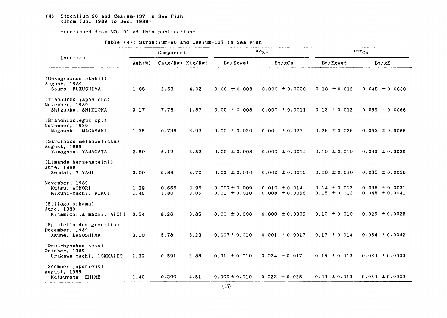#### (4) Strontium-90 and Cesium-137 in Sea Fish (from Jun. 1989 to Dec. 1989)

-continued from NO. 91 of this publication-

| Table (4): Strontium-90 and Cesium-137 in Sea Fish |  |
|----------------------------------------------------|--|
|----------------------------------------------------|--|

|                                                                 | Component                |                      |              |                                       | $\cdot \cdot$                           | 137Cs                                |                                          |  |
|-----------------------------------------------------------------|--------------------------|----------------------|--------------|---------------------------------------|-----------------------------------------|--------------------------------------|------------------------------------------|--|
| Location                                                        | $\text{Ash}(\mathbf{x})$ | $Ca(g/Kg)$ $K(g/Kg)$ |              | Bq/Kgwet                              | Bq/gCa                                  | Bq/Kgwet                             | Bq/gK                                    |  |
| (Hexagrammos otakii)<br>August, 1989<br>Souma, FUKUSHIMA        | 1.85                     | 2.53                 | 4.02         | $0.00 \pm 0.008$                      | $0.000 \pm 0.0030$                      | $0.18 \pm 0.012$                     | $0.045 \pm 0.0030$                       |  |
| (Trachurus japonicus)<br>November, 1989<br>Shizuoka, SHIZUOKA   | 3.17                     | 7.78                 | 1.87         | $0.00 \pm 0.008$                      | $0.000 \pm 0.0011$                      | $0.13 \pm 0.012$                     | $0.069 \pm 0.0066$                       |  |
| (Branchiostegus sp.)<br>November, 1989<br>Nagasaki, NAGASAKI    | 1.35                     | 0.736                | 3.93         | $0.00 \pm 0.020$                      | ± 0.027<br>0.00                         | $0.25 \pm 0.026$                     | $0.063 \pm 0.0066$                       |  |
| (Sardinops melanosticta)<br>August, 1989<br>Yamagata, YAMAGATA  | 2.60                     | 6.12                 | 2.52         | $0.00 \pm 0.008$                      | $0.000 \pm 0.0014$                      | $0.10 \pm 0.010$                     | $0.039 \pm 0.0039$                       |  |
| (Limanda herzensteini)<br>June. 1989<br>Sendai, MIYAGI          | 3.00                     | 6.89                 | 2.72         | $0.02 \pm 0.010$                      | $0.002 \pm 0.0015$                      | $0.10 \pm 0.010$                     | $0.035 \pm 0.0036$                       |  |
| November, 1989<br>Mutsu, AOMORI<br>Mikuni-machi, FUKUI          | 1.39<br>1.46             | 0.666<br>1.80        | 3.95<br>3.05 | $0.007 \pm 0.009$<br>$0.01 \pm 0.010$ | $0.010 \pm 0.014$<br>$0.008 \pm 0.0055$ | $0.14 \pm 0.012$<br>$0.15 \pm 0.013$ | $0.035 \pm 0.0031$<br>$0.048 \pm 0.0041$ |  |
| (Sillago sihama)<br>June, 1989<br>Minamichita-machi, AICHI      | 3.54                     | 8.20                 | 3.86         | $0.00 \pm 0.008$                      | $0.000 \pm 0.0009$                      | $0.10 \pm 0.010$                     | $0.026 \pm 0.0025$                       |  |
| (Spratelloides gracilis)<br>December, 1989<br>Akune, KAGOSHIMA  | 3.10                     | 5.78                 | 3.23         | $0.007 \pm 0.010$                     | $0.001 \pm 0.0017$                      | $0.17 \pm 0.014$                     | $0.054 \pm 0.0042$                       |  |
| (Oncorhynchus keta)<br>October, 1989<br>Urakawa-machi, HOKKAIDO | 1.39                     | 0.591                | 3.88         | $0.01 \pm 0.010$                      | $0.024 \pm 0.017$                       | $0.15 \pm 0.013$                     | $0.039 \pm 0.0033$                       |  |
| (Scomber japonicus)<br>August, 1989<br>Matsuyama, EHIME         | 1.40                     | 0.390                | 4.51         | $0.009 \pm 0.010$                     | $0.023 \pm 0.025$                       | $0.23 \pm 0.013$                     | $0.050 \pm 0.0029$                       |  |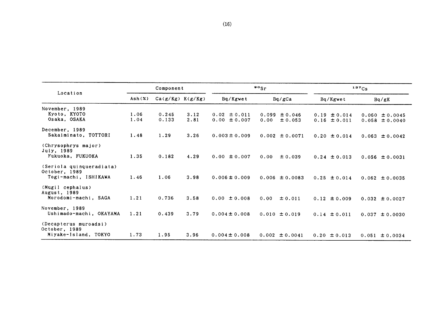| Component    |                |              |                                      |                                      | 137C <sub>S</sub>                    |                                          |  |
|--------------|----------------|--------------|--------------------------------------|--------------------------------------|--------------------------------------|------------------------------------------|--|
| Ash(X)       |                |              | Bq/Kgwet                             | Bq/gCa                               | Bq/Kgwet                             | Bq/gK                                    |  |
| 1.06<br>1.04 | 0.245<br>0.133 | 3.12<br>2.81 | $0.02 \pm 0.011$<br>$0.00 \pm 0.007$ | $0.099 \pm 0.046$<br>0.00<br>± 0.053 | $0.19 \pm 0.014$<br>$0.16 \pm 0.011$ | $0.060 \pm 0.0045$<br>$0.058 \pm 0.0040$ |  |
| 1.48         | 1.29           | 3.26         | $0.003 \pm 0.009$                    | $0.002 \pm 0.0071$                   | $0.20 \pm 0.014$                     | $0.063 \pm 0.0042$                       |  |
| 1.35         | 0.182          | 4.29         | $0.00 \pm 0.007$                     | 0.00<br>± 0.039                      | $0.24 \pm 0.013$                     | $0.056 \pm 0.0031$                       |  |
| 1.46         | 1.06           | 3.98         | $0.006 \pm 0.009$                    | $0.006 \pm 0.0083$                   | $0.25 \pm 0.014$                     | $0.062 \pm 0.0035$                       |  |
| 1.21         | 0.736          | 3.58         | $0.00 \pm 0.008$                     | 0.00<br>± 0.011                      | $0.12 \pm 0.009$                     | $0.032 \pm 0.0027$                       |  |
| 1.21         | 0.439          | 3.79         | $0.004 \pm 0.008$                    | $0.010 \pm 0.019$                    | $0.14 \pm 0.011$                     | 0.037<br>± 0.0030                        |  |
| 1.73         |                | 3.96         | $0.004 \pm 0.008$                    | $0.002 \pm 0.0041$                   | $0.20 \pm 0.013$                     | $0.051 \pm 0.0034$                       |  |
|              |                | 1.95         | $Ca(g/Kg)$ $K(g/Kg)$                 |                                      | $\cdot$ $\cdot$                      |                                          |  |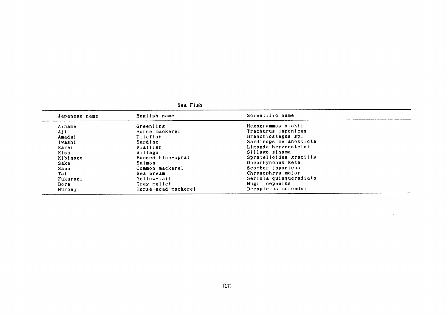| Japanese name | English name        | Scientific name        |  |  |  |  |
|---------------|---------------------|------------------------|--|--|--|--|
| Ainame        | Greenling           | Hexagrammos otakii     |  |  |  |  |
| Aji           | Horse mackerel      | Trachurus japonicus    |  |  |  |  |
| Amadai        | Tilefish            | Branchiostegus sp.     |  |  |  |  |
| Iwashi        | Sardine             | Sardinops melanosticta |  |  |  |  |
| Karei         | Flatfish            | Limanda herzensteini   |  |  |  |  |
| Kisu          | Sillago             | Sillago sihama         |  |  |  |  |
| Kibinago      | Banded blue-sprat   | Spratelloides gracilis |  |  |  |  |
| Sake          | Salmon              | Oncorhynchus keta      |  |  |  |  |
| Saba          | Common mackerel     | Scomber japonicus      |  |  |  |  |
| Tai           | Sea bream           | Chrysophrys major      |  |  |  |  |
| Fukuragi      | Yellow-tail         | Seriola quinqueradiata |  |  |  |  |
| Bora          | Gray mullet         | Mugil cephalus         |  |  |  |  |
| Muroaji       | Horse-scad mackerel | Decapterus muroadsi    |  |  |  |  |

Se8 Fi5h

 $\sim 10^7$ 

 $\sim 10^{-1}$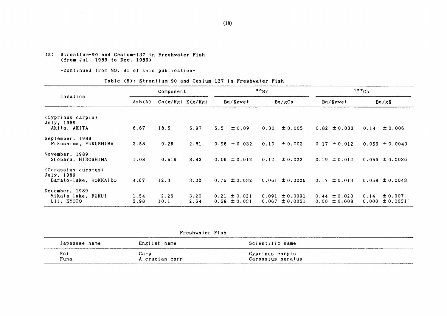#### (5) Strontium-90 and Cesium-137 in Freshwater Fish (from Jul.1989 to Dee.198g)

-continued from NO. 91 of this publication-

#### Table (5): Strontium-90 and Cesium-137 in Freshwater Fish

|                                                            | Component    |              |                      |     | $\frac{90}{5}$                       |                |                      |  | 137Cs                                |               |                     |
|------------------------------------------------------------|--------------|--------------|----------------------|-----|--------------------------------------|----------------|----------------------|--|--------------------------------------|---------------|---------------------|
| Location                                                   | Ash(x)       |              | $Ca(g/Kg)$ $K(g/Kg)$ |     | Bq/Kgwet                             |                | Bq/gCa               |  | Bq/Kgwet                             |               | Bq/gK               |
| (Cyprinus carpio)<br>July, 1989<br>Akita, AKITA            | 6.67         | 18.5         | 5.97                 | 5.5 | $\pm 0.09$                           | 0.30           | ± 0.005              |  | $0.82 \pm 0.033$                     | 0.14          | ± 0.006             |
| September, 1989<br>Fukushima, FUKUSHIMA                    | 3.58         | 9.25         | 2.81                 |     | $0.96 \pm 0.032$                     | 0.10           | ± 0.003              |  | $0.17 \pm 0.012$                     |               | $0.059 \pm 0.0043$  |
| November, 1989<br>Shobara, HIROSHIMA                       | 1.08         | 0.519        | 3.43                 |     | $0.06 \pm 0.012$                     | 0.12           | ± 0.022              |  | $0.19 \pm 0.012$                     |               | $0.056 \pm 0.0036$  |
| (Carassius auratus)<br>July, 1989<br>Barato-lake, HOKKAIDO | 4.67         | 12.3         | 3.02                 |     | $0.75 \pm 0.032$                     |                | $0.061 \pm 0.0026$   |  | $0.17 \pm 0.013$                     |               | $0.058 \pm 0.0043$  |
| December, 1989<br>Mikata-lake, FUKUI<br>Uji, KYOTO         | 1.54<br>3.98 | 2.26<br>10.1 | 3.20<br>2.64         |     | $0.21 \pm 0.021$<br>$0.68 \pm 0.031$ | 0.091<br>0.067 | ± 0.0091<br>± 0.0031 |  | $0.44 \pm 0.023$<br>$0.00 \pm 0.008$ | 0.14<br>0.000 | ± 0.007<br>± 0.0031 |

Freshvater Fish

| Japanese name | English name   | Scientific name   |  |
|---------------|----------------|-------------------|--|
| Koi           | $\cosh$        | Cyprinus carpio   |  |
| Funa          | A crucian carp | Carassius auratus |  |

 $\sim$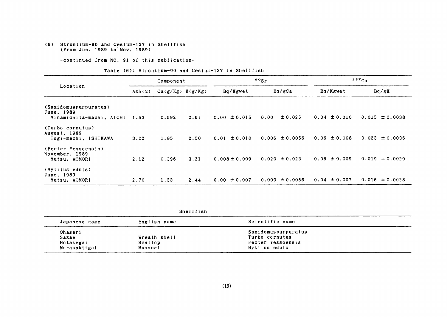(6) Strontium-90 and Cesium-137 in Shellfish (from Jun.1989 to Nov.1989)

-continued from NO. 91 of this publication-

Table (6): Strontium-90 and Cesium-137 in Shellfish

|                                                          | Component |                      |      |                   | $\frac{80}{5}$     | $137C_S$         |                    |  |
|----------------------------------------------------------|-----------|----------------------|------|-------------------|--------------------|------------------|--------------------|--|
| Location                                                 | Ash(x)    | $Ca(g/Kg)$ $K(g/Kg)$ |      | Bq/Kgwet          | Bq/gCa             | Bq/Kgwet         | Bq/gK              |  |
| (Saxidomuspurpuratus)<br>June, 1989                      |           |                      |      |                   |                    |                  |                    |  |
| Minamichita-machi, AICHI                                 | 1.53      | 0.592                | 2.61 | $0.00 \pm 0.015$  | ± 0.025<br>0.00    | $0.04 \pm 0.010$ | $0.015 \pm 0.0038$ |  |
| (Turbo cornutus)<br>August, 1989<br>Togi-machi, ISHIKAWA | 3.02      | 1.85                 | 2.50 | $0.01 \pm 0.010$  | $0.006 \pm 0.0056$ | $0.06 \pm 0.008$ | $0.023 \pm 0.0036$ |  |
| (Pecter Yessoensis)<br>November, 1989<br>Mutsu, AOMORI   | 2.12      | 0.396                | 3.21 | $0.008 \pm 0.009$ | $0.020 \pm 0.023$  | $0.06 \pm 0.009$ | $0.019 \pm 0.0029$ |  |
| (Mytilus eduls)<br>June, 1989<br>Mutsu, AOMORI           | 2.70      | 1.33                 | 2.44 | $0.00 \pm 0.007$  | $0.000 \pm 0.0056$ | $0.04 \pm 0.007$ | $0.016 \pm 0.0028$ |  |

Shellfi8h

| Japanese name | English name | Scientific name     |  |
|---------------|--------------|---------------------|--|
| Ohasari       |              | Saxidomuspurpuratus |  |
| Sazae         | Wreath shell | Turbo cornutus      |  |
| Hotategai     | Scallop      | Pecter Yessoensis   |  |
| Murasakiigai  | Mussuel      | Mytilus eduls       |  |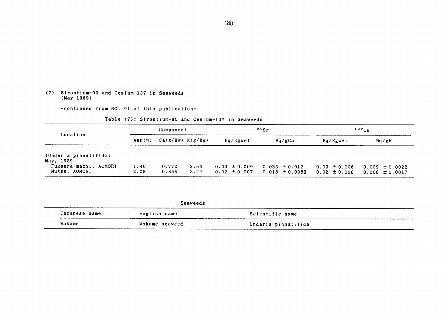#### (7) Strontium-90 and Ceslum-137in Seaveeds (May1989)

-continued from NO. 91 of this publication-

#### Table (7): Strontium-90 and Cesium-137 in Seaweeds

|                                                                              | Component    |                      |              |                                      | $\cdot$ $\cdot$ $\cdot$                 | $137C_S$                             |                                          |
|------------------------------------------------------------------------------|--------------|----------------------|--------------|--------------------------------------|-----------------------------------------|--------------------------------------|------------------------------------------|
| Location                                                                     | Ash $(%)$    | $Ca(g/Kg)$ $K(g/Kg)$ |              | Bq/Kgwet                             | Bq/gCa                                  | Bq/Kgwet                             | Ba/gK                                    |
| (Undaria pinnatifida)<br>May, 1989<br>Fukaura-machi, AOMORI<br>Mutsu, AOMORI | 1.40<br>2.08 | 0.772<br>0.865       | 2.66<br>3.22 | $0.03 \pm 0.009$<br>$0.02 \pm 0.007$ | $0.033 \pm 0.012$<br>$0.018 \pm 0.0083$ | $0.03 \pm 0.006$<br>$0.02 \pm 0.006$ | $0.009 \pm 0.0022$<br>$0.006 \pm 0.0017$ |

|                           | Seaweeds       |                     |
|---------------------------|----------------|---------------------|
| Japanese name<br>________ | English name   | Scientific name     |
| Wakame                    | Wakame seaweed | Undaria pinnatifida |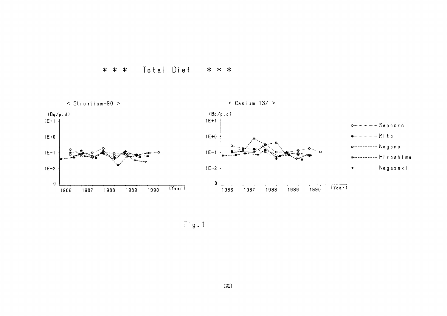



 $Fig. 1$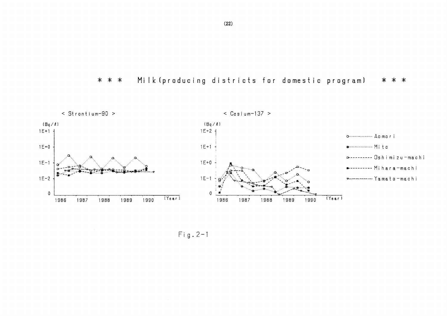Milk (producing districts for domestic program) \* \* \* \* \* \*



 $Fig. 2-1$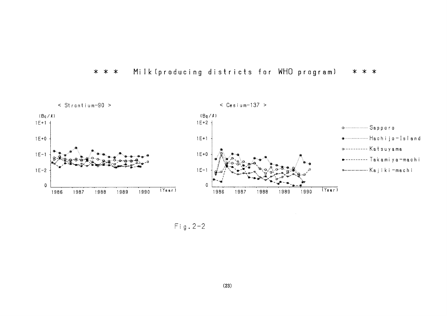



 $\sim$ 

 $Fig. 2-2$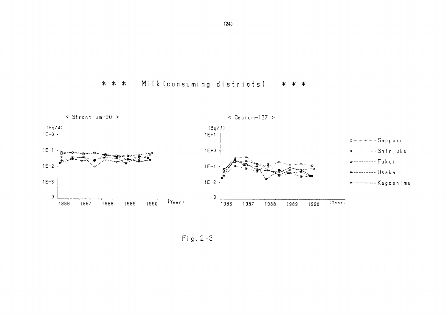Milk (consuming districts) \* \* \* \* \* \*



 $Fig. 2-3$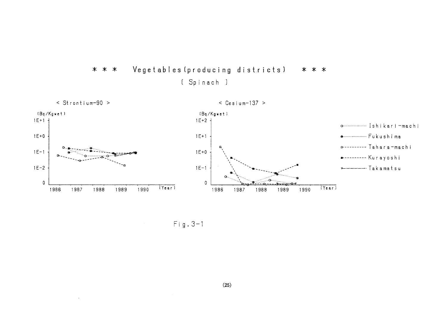

\* \* \* Vegetables(producing dist.ricts】 \* \* \*

〔Spinach〕

Fig.3-1

 $\sim$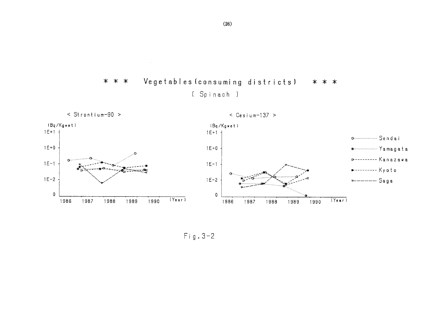



 $Fig. 3-2$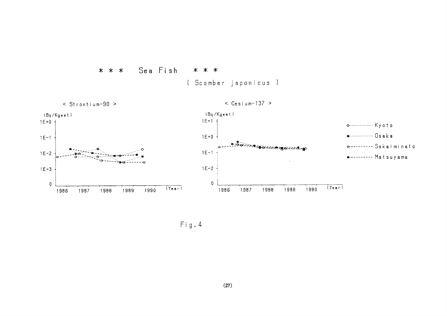

〔Scomber japonicus〕



Fig.4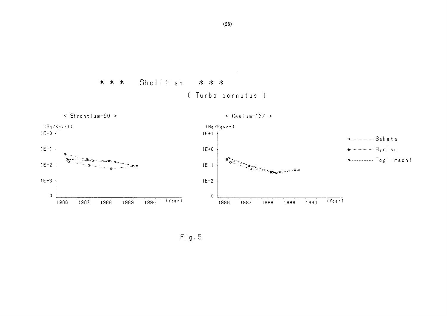#### Shellfish \* \* \* \* \* \* [ Turbo cornutus ]



Fig.5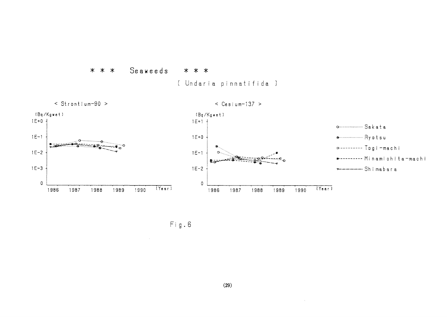

[ Undaria pinnatifida ]



 $Fig. 6$ 

 $\sim 10^7$ 

 $\sim 10^{-1}$